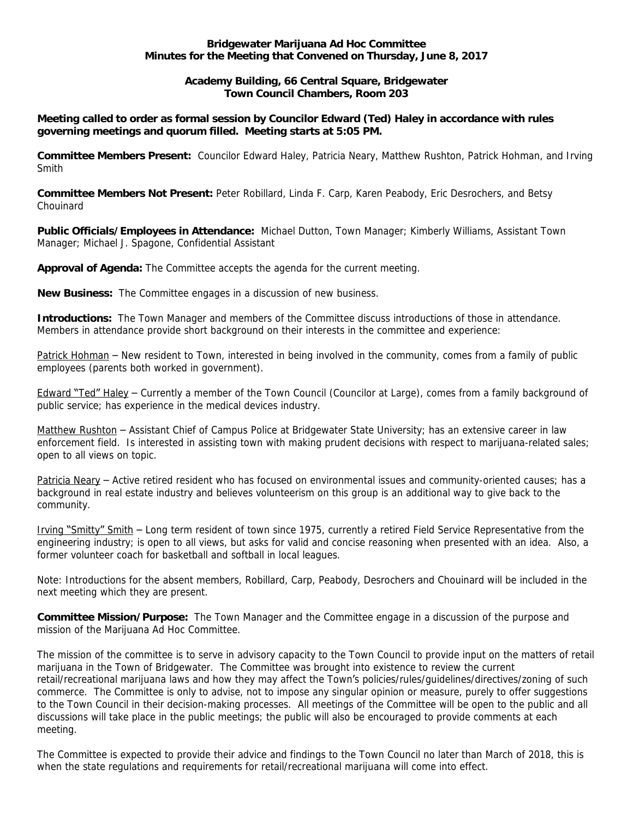## **Bridgewater Marijuana Ad Hoc Committee Minutes for the Meeting that Convened on Thursday, June 8, 2017**

## **Academy Building, 66 Central Square, Bridgewater Town Council Chambers, Room 203**

## **Meeting called to order as formal session by Councilor Edward (Ted) Haley in accordance with rules governing meetings and quorum filled. Meeting starts at 5:05 PM.**

**Committee Members Present:** *Councilor Edward Haley, Patricia Neary, Matthew Rushton, Patrick Hohman, and Irving Smith*

**Committee Members Not Present:** *Peter Robillard, Linda F. Carp, Karen Peabody, Eric Desrochers, and Betsy Chouinard*

**Public Officials/Employees in Attendance:** *Michael Dutton, Town Manager; Kimberly Williams, Assistant Town Manager; Michael J. Spagone, Confidential Assistant*

**Approval of Agenda:** *The Committee accepts the agenda for the current meeting.*

**New Business:** *The Committee engages in a discussion of new business.*

**Introductions:** *The Town Manager and members of the Committee discuss introductions of those in attendance. Members in attendance provide short background on their interests in the committee and experience:*

*Patrick Hohman* – *New resident to Town, interested in being involved in the community, comes from a family of public employees (parents both worked in government).*

*Edward* "*Ted*" *Haley* – *Currently a member of the Town Council (Councilor at Large), comes from a family background of public service; has experience in the medical devices industry.*

*Matthew Rushton* – *Assistant Chief of Campus Police at Bridgewater State University; has an extensive career in law enforcement field. Is interested in assisting town with making prudent decisions with respect to marijuana-related sales; open to all views on topic.*

*Patricia Neary* – *Active retired resident who has focused on environmental issues and community-oriented causes; has a background in real estate industry and believes volunteerism on this group is an additional way to give back to the community.*

*Irving* "*Smitty*" *Smith* – *Long term resident of town since 1975, currently a retired Field Service Representative from the engineering industry; is open to all views, but asks for valid and concise reasoning when presented with an idea. Also, a former volunteer coach for basketball and softball in local leagues.*

*Note: Introductions for the absent members, Robillard, Carp, Peabody, Desrochers and Chouinard will be included in the next meeting which they are present.*

**Committee Mission/Purpose:** *The Town Manager and the Committee engage in a discussion of the purpose and mission of the Marijuana Ad Hoc Committee.*

*The mission of the committee is to serve in advisory capacity to the Town Council to provide input on the matters of retail marijuana in the Town of Bridgewater. The Committee was brought into existence to review the current retail/recreational marijuana laws and how they may affect the Town*'*s policies/rules/guidelines/directives/zoning of such commerce. The Committee is only to advise, not to impose any singular opinion or measure, purely to offer suggestions*  to the Town Council in their decision-making processes. All meetings of the Committee will be open to the public and all *discussions will take place in the public meetings; the public will also be encouraged to provide comments at each meeting.*

*The Committee is expected to provide their advice and findings to the Town Council no later than March of 2018, this is when the state regulations and requirements for retail/recreational marijuana will come into effect.*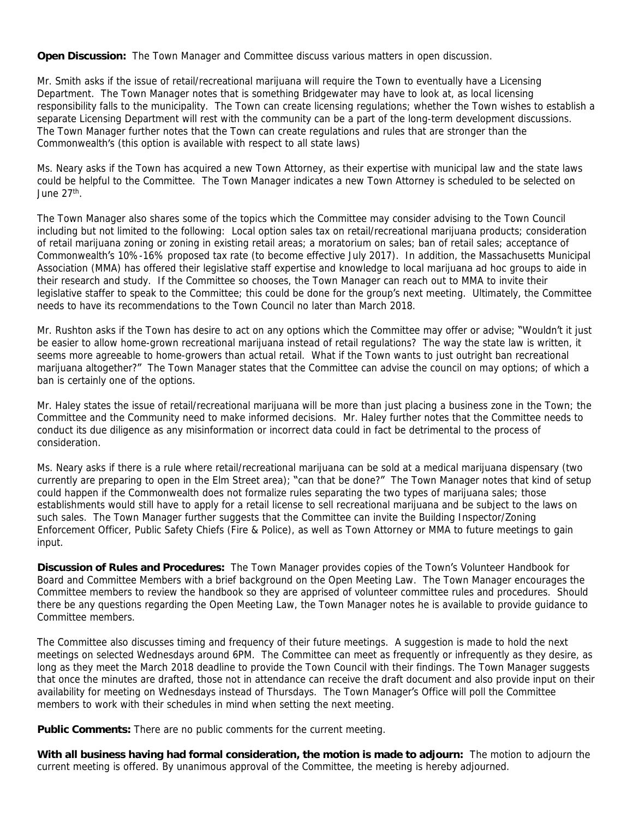**Open Discussion:** *The Town Manager and Committee discuss various matters in open discussion.*

*Mr. Smith asks if the issue of retail/recreational marijuana will require the Town to eventually have a Licensing Department. The Town Manager notes that is something Bridgewater may have to look at, as local licensing responsibility falls to the municipality. The Town can create licensing regulations; whether the Town wishes to establish a separate Licensing Department will rest with the community can be a part of the long-term development discussions. The Town Manager further notes that the Town can create regulations and rules that are stronger than the Commonwealth*'*s (this option is available with respect to all state laws)*

*Ms. Neary asks if the Town has acquired a new Town Attorney, as their expertise with municipal law and the state laws could be helpful to the Committee. The Town Manager indicates a new Town Attorney is scheduled to be selected on June 27th .*

*The Town Manager also shares some of the topics which the Committee may consider advising to the Town Council including but not limited to the following: Local option sales tax on retail/recreational marijuana products; consideration of retail marijuana zoning or zoning in existing retail areas; a moratorium on sales; ban of retail sales; acceptance of Commonwealth*'*s 10%-16% proposed tax rate (to become effective July 2017). In addition, the Massachusetts Municipal Association (MMA) has offered their legislative staff expertise and knowledge to local marijuana ad hoc groups to aide in their research and study. If the Committee so chooses, the Town Manager can reach out to MMA to invite their legislative staffer to speak to the Committee; this could be done for the group*'*s next meeting. Ultimately, the Committee needs to have its recommendations to the Town Council no later than March 2018.*

*Mr. Rushton asks if the Town has desire to act on any options which the Committee may offer or advise;* "*Wouldn*'*t it just be easier to allow home-grown recreational marijuana instead of retail regulations? The way the state law is written, it*  seems more agreeable to home-growers than actual retail. What if the Town wants to just outright ban recreational *marijuana altogether?*" *The Town Manager states that the Committee can advise the council on may options; of which a ban is certainly one of the options.*

*Mr. Haley states the issue of retail/recreational marijuana will be more than just placing a business zone in the Town; the Committee and the Community need to make informed decisions. Mr. Haley further notes that the Committee needs to conduct its due diligence as any misinformation or incorrect data could in fact be detrimental to the process of consideration.*

*Ms. Neary asks if there is a rule where retail/recreational marijuana can be sold at a medical marijuana dispensary (two currently are preparing to open in the Elm Street area);* "*can that be done?*" *The Town Manager notes that kind of setup could happen if the Commonwealth does not formalize rules separating the two types of marijuana sales; those establishments would still have to apply for a retail license to sell recreational marijuana and be subject to the laws on*  such sales. The Town Manager further suggests that the Committee can invite the Building Inspector/Zoning *Enforcement Officer, Public Safety Chiefs (Fire & Police), as well as Town Attorney or MMA to future meetings to gain input.*

**Discussion of Rules and Procedures:** *The Town Manager provides copies of the Town*'*s Volunteer Handbook for Board and Committee Members with a brief background on the Open Meeting Law. The Town Manager encourages the Committee members to review the handbook so they are apprised of volunteer committee rules and procedures. Should there be any questions regarding the Open Meeting Law, the Town Manager notes he is available to provide guidance to Committee members.*

*The Committee also discusses timing and frequency of their future meetings. A suggestion is made to hold the next meetings on selected Wednesdays around 6PM. The Committee can meet as frequently or infrequently as they desire, as long as they meet the March 2018 deadline to provide the Town Council with their findings. The Town Manager suggests that once the minutes are drafted, those not in attendance can receive the draft document and also provide input on their availability for meeting on Wednesdays instead of Thursdays. The Town Manager*'*s Office will poll the Committee members to work with their schedules in mind when setting the next meeting.*

**Public Comments:** *There are no public comments for the current meeting.*

**With all business having had formal consideration, the motion is made to adjourn:** *The motion to adjourn the current meeting is offered. By unanimous approval of the Committee, the meeting is hereby adjourned.*